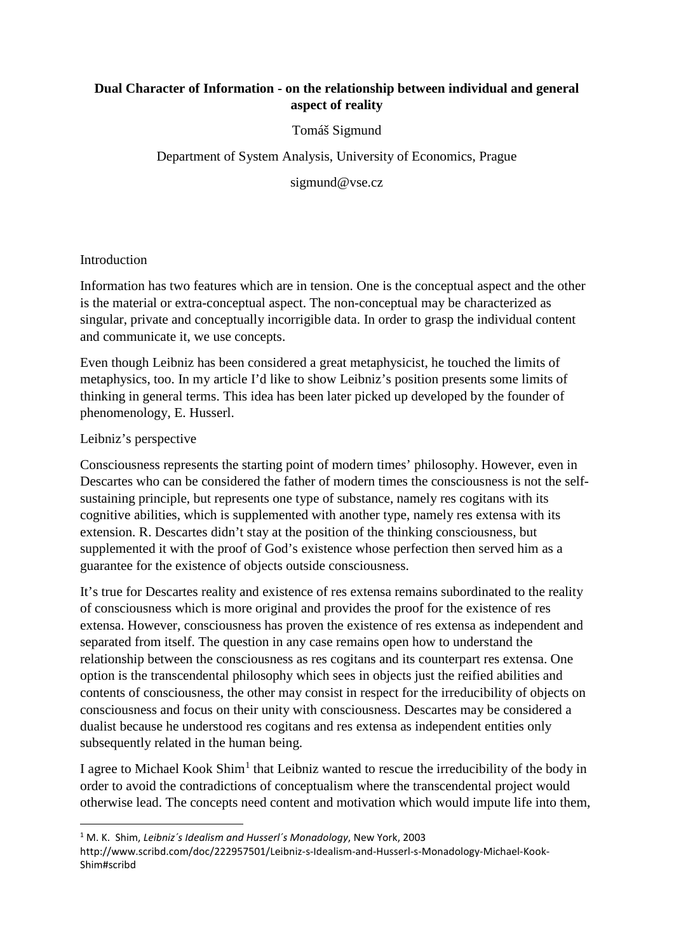# **Dual Character of Information - on the relationship between individual and general aspect of reality**

Tomáš Sigmund

Department of System Analysis, University of Economics, Prague

sigmund@vse.cz

# Introduction

Information has two features which are in tension. One is the conceptual aspect and the other is the material or extra-conceptual aspect. The non-conceptual may be characterized as singular, private and conceptually incorrigible data. In order to grasp the individual content and communicate it, we use concepts.

Even though Leibniz has been considered a great metaphysicist, he touched the limits of metaphysics, too. In my article I'd like to show Leibniz's position presents some limits of thinking in general terms. This idea has been later picked up developed by the founder of phenomenology, E. Husserl.

# Leibniz's perspective

Consciousness represents the starting point of modern times' philosophy. However, even in Descartes who can be considered the father of modern times the consciousness is not the selfsustaining principle, but represents one type of substance, namely res cogitans with its cognitive abilities, which is supplemented with another type, namely res extensa with its extension. R. Descartes didn't stay at the position of the thinking consciousness, but supplemented it with the proof of God's existence whose perfection then served him as a guarantee for the existence of objects outside consciousness.

It's true for Descartes reality and existence of res extensa remains subordinated to the reality of consciousness which is more original and provides the proof for the existence of res extensa. However, consciousness has proven the existence of res extensa as independent and separated from itself. The question in any case remains open how to understand the relationship between the consciousness as res cogitans and its counterpart res extensa. One option is the transcendental philosophy which sees in objects just the reified abilities and contents of consciousness, the other may consist in respect for the irreducibility of objects on consciousness and focus on their unity with consciousness. Descartes may be considered a dualist because he understood res cogitans and res extensa as independent entities only subsequently related in the human being.

I agree to Michael Kook  $Shim<sup>1</sup>$  $Shim<sup>1</sup>$  $Shim<sup>1</sup>$  that Leibniz wanted to rescue the irreducibility of the body in order to avoid the contradictions of conceptualism where the transcendental project would otherwise lead. The concepts need content and motivation which would impute life into them,

<span id="page-0-0"></span> <sup>1</sup> M. K. Shim, *Leibniz´s Idealism and Husserl´s Monadology*, New York, 2003

http://www.scribd.com/doc/222957501/Leibniz-s-Idealism-and-Husserl-s-Monadology-Michael-Kook-Shim#scribd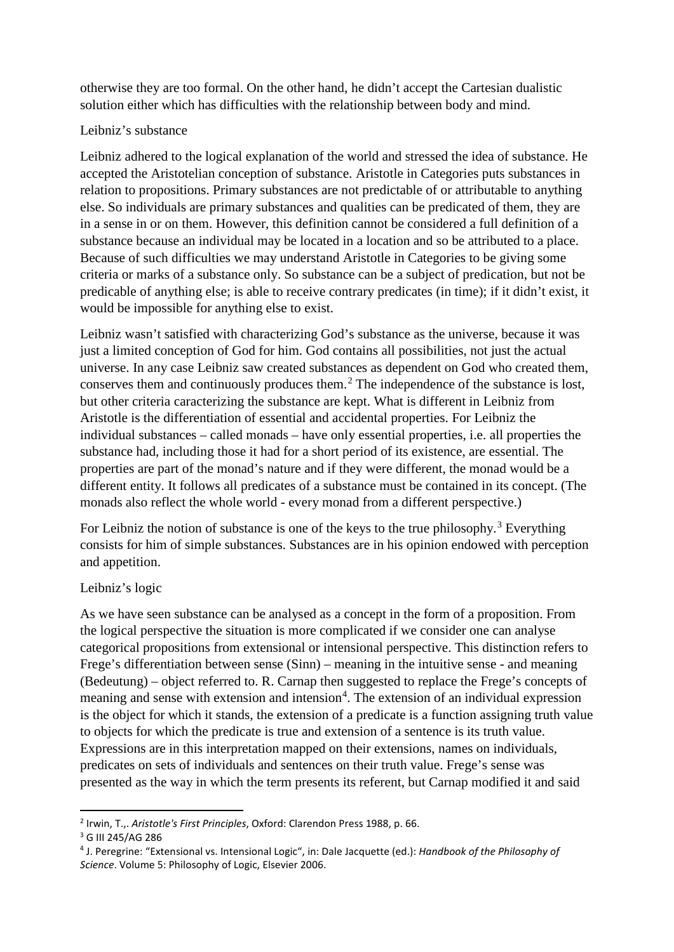otherwise they are too formal. On the other hand, he didn't accept the Cartesian dualistic solution either which has difficulties with the relationship between body and mind.

## Leibniz's substance

Leibniz adhered to the logical explanation of the world and stressed the idea of substance. He accepted the Aristotelian conception of substance. Aristotle in Categories puts substances in relation to propositions. Primary substances are not predictable of or attributable to anything else. So individuals are primary substances and qualities can be predicated of them, they are in a sense in or on them. However, this definition cannot be considered a full definition of a substance because an individual may be located in a location and so be attributed to a place. Because of such difficulties we may understand Aristotle in Categories to be giving some criteria or marks of a substance only. So substance can be a subject of predication, but not be predicable of anything else; is able to receive contrary predicates (in time); if it didn't exist, it would be impossible for anything else to exist.

Leibniz wasn't satisfied with characterizing God's substance as the universe, because it was just a limited conception of God for him. God contains all possibilities, not just the actual universe. In any case Leibniz saw created substances as dependent on God who created them, conserves them and continuously produces them. [2](#page-1-0) The independence of the substance is lost, but other criteria caracterizing the substance are kept. What is different in Leibniz from Aristotle is the differentiation of essential and accidental properties. For Leibniz the individual substances – called monads – have only essential properties, i.e. all properties the substance had, including those it had for a short period of its existence, are essential. The properties are part of the monad's nature and if they were different, the monad would be a different entity. It follows all predicates of a substance must be contained in its concept. (The monads also reflect the whole world - every monad from a different perspective.)

For Leibniz the notion of substance is one of the keys to the true philosophy.<sup>[3](#page-1-1)</sup> Everything consists for him of simple substances. Substances are in his opinion endowed with perception and appetition.

# Leibniz's logic

As we have seen substance can be analysed as a concept in the form of a proposition. From the logical perspective the situation is more complicated if we consider one can analyse categorical propositions from extensional or intensional perspective. This distinction refers to Frege's differentiation between sense (Sinn) – meaning in the intuitive sense - and meaning (Bedeutung) – object referred to. R. Carnap then suggested to replace the Frege's concepts of meaning and sense with extension and intension<sup>[4](#page-1-2)</sup>. The extension of an individual expression is the object for which it stands, the extension of a predicate is a function assigning truth value to objects for which the predicate is true and extension of a sentence is its truth value. Expressions are in this interpretation mapped on their extensions, names on individuals, predicates on sets of individuals and sentences on their truth value. Frege's sense was presented as the way in which the term presents its referent, but Carnap modified it and said

<span id="page-1-0"></span> <sup>2</sup> Irwin, T.,. *Aristotle's First Principles*, Oxford: Clarendon Press 1988, p. 66.

<span id="page-1-1"></span><sup>3</sup> G III 245/AG 286

<span id="page-1-2"></span><sup>4</sup> J. Peregrine: "Extensional vs. Intensional Logic", in: Dale Jacquette (ed.): *Handbook of the Philosophy of Science*. Volume 5: Philosophy of Logic, Elsevier 2006.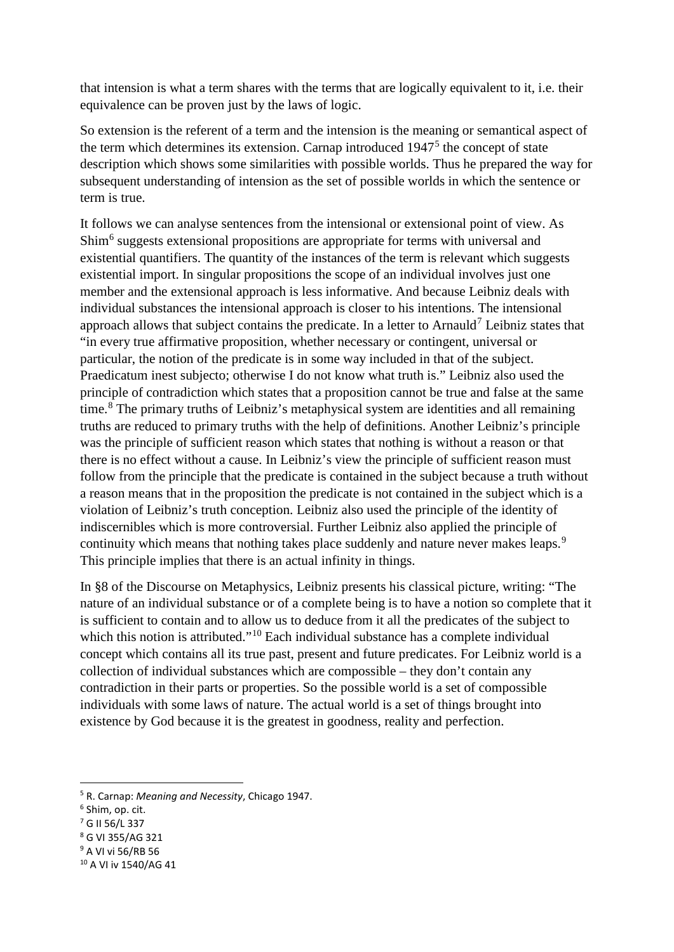that intension is what a term shares with the terms that are logically equivalent to it, i.e. their equivalence can be proven just by the laws of logic.

So extension is the referent of a term and the intension is the meaning or semantical aspect of the term which determines its extension. Carnap introduced  $1947<sup>5</sup>$  $1947<sup>5</sup>$  $1947<sup>5</sup>$  the concept of state description which shows some similarities with possible worlds. Thus he prepared the way for subsequent understanding of intension as the set of possible worlds in which the sentence or term is true.

It follows we can analyse sentences from the intensional or extensional point of view. As Shim[6](#page-2-1) suggests extensional propositions are appropriate for terms with universal and existential quantifiers. The quantity of the instances of the term is relevant which suggests existential import. In singular propositions the scope of an individual involves just one member and the extensional approach is less informative. And because Leibniz deals with individual substances the intensional approach is closer to his intentions. The intensional approach allows that subject contains the predicate. In a letter to Arnauld<sup>[7](#page-2-2)</sup> Leibniz states that "in every true affirmative proposition, whether necessary or contingent, universal or particular, the notion of the predicate is in some way included in that of the subject. Praedicatum inest subjecto; otherwise I do not know what truth is." Leibniz also used the principle of contradiction which states that a proposition cannot be true and false at the same time.[8](#page-2-3) The primary truths of Leibniz's metaphysical system are identities and all remaining truths are reduced to primary truths with the help of definitions. Another Leibniz's principle was the principle of sufficient reason which states that nothing is without a reason or that there is no effect without a cause. In Leibniz's view the principle of sufficient reason must follow from the principle that the predicate is contained in the subject because a truth without a reason means that in the proposition the predicate is not contained in the subject which is a violation of Leibniz's truth conception. Leibniz also used the principle of the identity of indiscernibles which is more controversial. Further Leibniz also applied the principle of continuity which means that nothing takes place suddenly and nature never makes leaps.<sup>[9](#page-2-4)</sup> This principle implies that there is an actual infinity in things.

In §8 of the Discourse on Metaphysics, Leibniz presents his classical picture, writing: "The nature of an individual substance or of a complete being is to have a notion so complete that it is sufficient to contain and to allow us to deduce from it all the predicates of the subject to which this notion is attributed."<sup>[10](#page-2-5)</sup> Each individual substance has a complete individual concept which contains all its true past, present and future predicates. For Leibniz world is a collection of individual substances which are compossible – they don't contain any contradiction in their parts or properties. So the possible world is a set of compossible individuals with some laws of nature. The actual world is a set of things brought into existence by God because it is the greatest in goodness, reality and perfection.

- <span id="page-2-2"></span>
- <span id="page-2-3"></span><sup>8</sup> G VI 355/AG 321
- <span id="page-2-4"></span><sup>9</sup> A VI vi 56/RB 56

<span id="page-2-0"></span> <sup>5</sup> R. Carnap: *Meaning and Necessity*, Chicago 1947.

<span id="page-2-1"></span> $<sup>6</sup>$  Shim, op. cit.<br> $<sup>7</sup>$  G II 56/L 337</sup></sup>

<span id="page-2-5"></span><sup>10</sup> A VI iv 1540/AG 41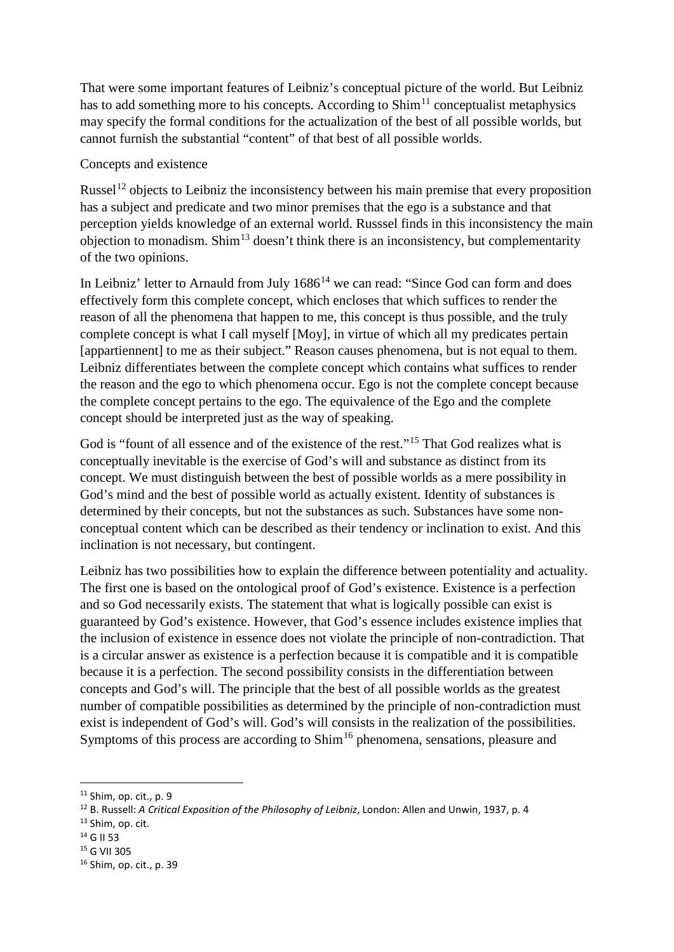That were some important features of Leibniz's conceptual picture of the world. But Leibniz has to add something more to his concepts. According to  $Shim<sup>11</sup>$  $Shim<sup>11</sup>$  $Shim<sup>11</sup>$  conceptualist metaphysics may specify the formal conditions for the actualization of the best of all possible worlds, but cannot furnish the substantial "content" of that best of all possible worlds.

#### Concepts and existence

Russel<sup>[12](#page-3-1)</sup> objects to Leibniz the inconsistency between his main premise that every proposition has a subject and predicate and two minor premises that the ego is a substance and that perception yields knowledge of an external world. Russsel finds in this inconsistency the main objection to monadism. Shim<sup>[13](#page-3-2)</sup> doesn't think there is an inconsistency, but complementarity of the two opinions.

In Leibniz' letter to Arnauld from July  $1686<sup>14</sup>$  $1686<sup>14</sup>$  $1686<sup>14</sup>$  we can read: "Since God can form and does effectively form this complete concept, which encloses that which suffices to render the reason of all the phenomena that happen to me, this concept is thus possible, and the truly complete concept is what I call myself [Moy], in virtue of which all my predicates pertain [appartiennent] to me as their subject." Reason causes phenomena, but is not equal to them. Leibniz differentiates between the complete concept which contains what suffices to render the reason and the ego to which phenomena occur. Ego is not the complete concept because the complete concept pertains to the ego. The equivalence of the Ego and the complete concept should be interpreted just as the way of speaking.

God is "fount of all essence and of the existence of the rest."<sup>[15](#page-3-4)</sup> That God realizes what is conceptually inevitable is the exercise of God's will and substance as distinct from its concept. We must distinguish between the best of possible worlds as a mere possibility in God's mind and the best of possible world as actually existent. Identity of substances is determined by their concepts, but not the substances as such. Substances have some nonconceptual content which can be described as their tendency or inclination to exist. And this inclination is not necessary, but contingent.

Leibniz has two possibilities how to explain the difference between potentiality and actuality. The first one is based on the ontological proof of God's existence. Existence is a perfection and so God necessarily exists. The statement that what is logically possible can exist is guaranteed by God's existence. However, that God's essence includes existence implies that the inclusion of existence in essence does not violate the principle of non-contradiction. That is a circular answer as existence is a perfection because it is compatible and it is compatible because it is a perfection. The second possibility consists in the differentiation between concepts and God's will. The principle that the best of all possible worlds as the greatest number of compatible possibilities as determined by the principle of non-contradiction must exist is independent of God's will. God's will consists in the realization of the possibilities. Symptoms of this process are according to Shim<sup>[16](#page-3-5)</sup> phenomena, sensations, pleasure and

- <span id="page-3-2"></span> $13$  Shim, op. cit.<br> $14$  G II 53
- <span id="page-3-3"></span>
- <span id="page-3-4"></span><sup>15</sup> G VII 305

<span id="page-3-0"></span> <sup>11</sup> Shim, op. cit., p. 9

<span id="page-3-1"></span><sup>12</sup> B. Russell: *A Critical Exposition of the Philosophy of Leibniz*, London: Allen and Unwin, 1937, p. 4

<span id="page-3-5"></span><sup>16</sup> Shim, op. cit., p. 39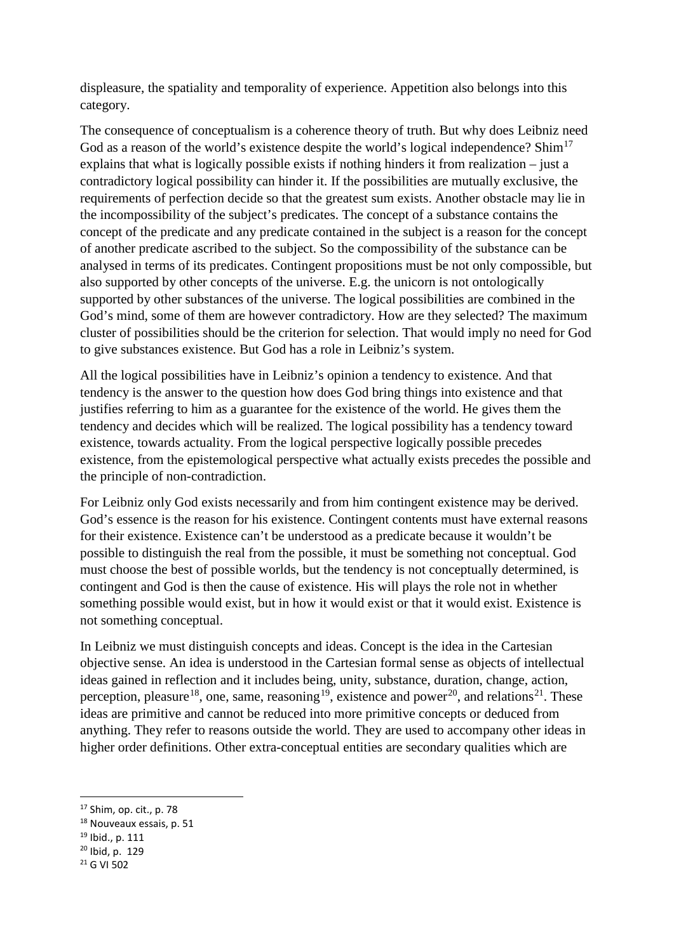displeasure, the spatiality and temporality of experience. Appetition also belongs into this category.

The consequence of conceptualism is a coherence theory of truth. But why does Leibniz need God as a reason of the world's existence despite the world's logical independence? Shim<sup>[17](#page-4-0)</sup> explains that what is logically possible exists if nothing hinders it from realization – just a contradictory logical possibility can hinder it. If the possibilities are mutually exclusive, the requirements of perfection decide so that the greatest sum exists. Another obstacle may lie in the incompossibility of the subject's predicates. The concept of a substance contains the concept of the predicate and any predicate contained in the subject is a reason for the concept of another predicate ascribed to the subject. So the compossibility of the substance can be analysed in terms of its predicates. Contingent propositions must be not only compossible, but also supported by other concepts of the universe. E.g. the unicorn is not ontologically supported by other substances of the universe. The logical possibilities are combined in the God's mind, some of them are however contradictory. How are they selected? The maximum cluster of possibilities should be the criterion for selection. That would imply no need for God to give substances existence. But God has a role in Leibniz's system.

All the logical possibilities have in Leibniz's opinion a tendency to existence. And that tendency is the answer to the question how does God bring things into existence and that justifies referring to him as a guarantee for the existence of the world. He gives them the tendency and decides which will be realized. The logical possibility has a tendency toward existence, towards actuality. From the logical perspective logically possible precedes existence, from the epistemological perspective what actually exists precedes the possible and the principle of non-contradiction.

For Leibniz only God exists necessarily and from him contingent existence may be derived. God's essence is the reason for his existence. Contingent contents must have external reasons for their existence. Existence can't be understood as a predicate because it wouldn't be possible to distinguish the real from the possible, it must be something not conceptual. God must choose the best of possible worlds, but the tendency is not conceptually determined, is contingent and God is then the cause of existence. His will plays the role not in whether something possible would exist, but in how it would exist or that it would exist. Existence is not something conceptual.

In Leibniz we must distinguish concepts and ideas. Concept is the idea in the Cartesian objective sense. An idea is understood in the Cartesian formal sense as objects of intellectual ideas gained in reflection and it includes being, unity, substance, duration, change, action, perception, pleasure<sup>[18](#page-4-1)</sup>, one, same, reasoning<sup>[19](#page-4-2)</sup>, existence and power<sup>[20](#page-4-3)</sup>, and relations<sup>[21](#page-4-4)</sup>. These ideas are primitive and cannot be reduced into more primitive concepts or deduced from anything. They refer to reasons outside the world. They are used to accompany other ideas in higher order definitions. Other extra-conceptual entities are secondary qualities which are

<span id="page-4-2"></span><sup>19</sup> Ibid., p. 111

<span id="page-4-0"></span> <sup>17</sup> Shim, op. cit., p. 78

<span id="page-4-1"></span><sup>18</sup> Nouveaux essais, p. 51

<span id="page-4-3"></span><sup>20</sup> Ibid, p. 129

<span id="page-4-4"></span><sup>21</sup> G VI 502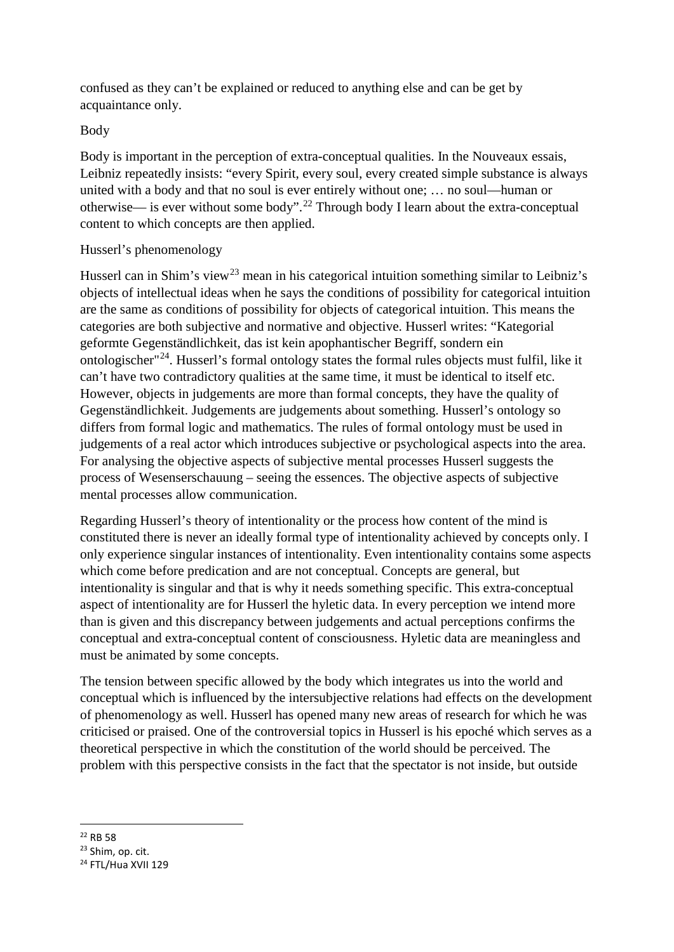confused as they can't be explained or reduced to anything else and can be get by acquaintance only.

## Body

Body is important in the perception of extra-conceptual qualities. In the Nouveaux essais, Leibniz repeatedly insists: "every Spirit, every soul, every created simple substance is always united with a body and that no soul is ever entirely without one; … no soul—human or otherwise— is ever without some body".<sup>[22](#page-5-0)</sup> Through body I learn about the extra-conceptual content to which concepts are then applied.

### Husserl's phenomenology

Husserl can in Shim's view<sup>[23](#page-5-1)</sup> mean in his categorical intuition something similar to Leibniz's objects of intellectual ideas when he says the conditions of possibility for categorical intuition are the same as conditions of possibility for objects of categorical intuition. This means the categories are both subjective and normative and objective. Husserl writes: "Kategorial geformte Gegenständlichkeit, das ist kein apophantischer Begriff, sondern ein ontologischer"[24.](#page-5-2) Husserl's formal ontology states the formal rules objects must fulfil, like it can't have two contradictory qualities at the same time, it must be identical to itself etc. However, objects in judgements are more than formal concepts, they have the quality of Gegenständlichkeit. Judgements are judgements about something. Husserl's ontology so differs from formal logic and mathematics. The rules of formal ontology must be used in judgements of a real actor which introduces subjective or psychological aspects into the area. For analysing the objective aspects of subjective mental processes Husserl suggests the process of Wesenserschauung – seeing the essences. The objective aspects of subjective mental processes allow communication.

Regarding Husserl's theory of intentionality or the process how content of the mind is constituted there is never an ideally formal type of intentionality achieved by concepts only. I only experience singular instances of intentionality. Even intentionality contains some aspects which come before predication and are not conceptual. Concepts are general, but intentionality is singular and that is why it needs something specific. This extra-conceptual aspect of intentionality are for Husserl the hyletic data. In every perception we intend more than is given and this discrepancy between judgements and actual perceptions confirms the conceptual and extra-conceptual content of consciousness. Hyletic data are meaningless and must be animated by some concepts.

The tension between specific allowed by the body which integrates us into the world and conceptual which is influenced by the intersubjective relations had effects on the development of phenomenology as well. Husserl has opened many new areas of research for which he was criticised or praised. One of the controversial topics in Husserl is his epoché which serves as a theoretical perspective in which the constitution of the world should be perceived. The problem with this perspective consists in the fact that the spectator is not inside, but outside

<span id="page-5-0"></span>22 RB 58

<span id="page-5-1"></span><sup>23</sup> Shim, op. cit.

<span id="page-5-2"></span><sup>&</sup>lt;sup>24</sup> FTL/Hua XVII 129